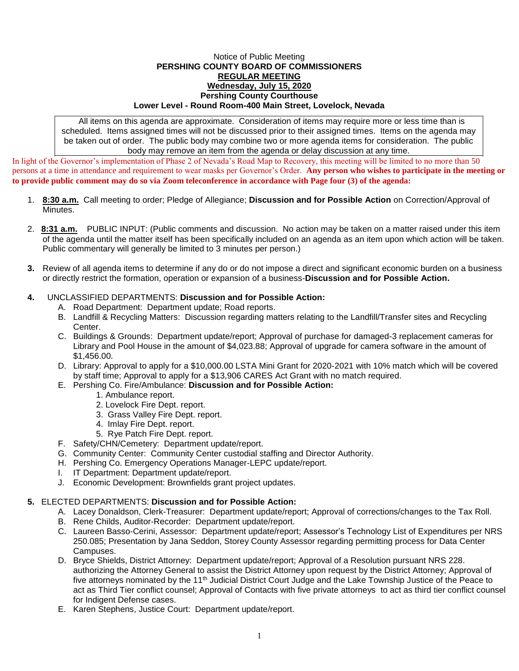## Notice of Public Meeting **PERSHING COUNTY BOARD OF COMMISSIONERS REGULAR MEETING Wednesday, July 15, 2020 Pershing County Courthouse Lower Level - Round Room-400 Main Street, Lovelock, Nevada**

All items on this agenda are approximate. Consideration of items may require more or less time than is scheduled. Items assigned times will not be discussed prior to their assigned times. Items on the agenda may be taken out of order. The public body may combine two or more agenda items for consideration. The public body may remove an item from the agenda or delay discussion at any time.

In light of the Governor's implementation of Phase 2 of Nevada's Road Map to Recovery, this meeting will be limited to no more than 50 persons at a time in attendance and requirement to wear masks per Governor's Order. **Any person who wishes to participate in the meeting or to provide public comment may do so via Zoom teleconference in accordance with Page four (3) of the agenda:** 

- 1. **8:30 a.m.** Call meeting to order; Pledge of Allegiance; **Discussion and for Possible Action** on Correction/Approval of Minutes.
- 2. **8:31 a.m.** PUBLIC INPUT: (Public comments and discussion. No action may be taken on a matter raised under this item of the agenda until the matter itself has been specifically included on an agenda as an item upon which action will be taken. Public commentary will generally be limited to 3 minutes per person.)
- **3.** Review of all agenda items to determine if any do or do not impose a direct and significant economic burden on a business or directly restrict the formation, operation or expansion of a business-**Discussion and for Possible Action.**

## **4.** UNCLASSIFIED DEPARTMENTS: **Discussion and for Possible Action:**

- A. Road Department: Department update; Road reports.
- B. Landfill & Recycling Matters: Discussion regarding matters relating to the Landfill/Transfer sites and Recycling Center.
- C. Buildings & Grounds: Department update/report; Approval of purchase for damaged-3 replacement cameras for Library and Pool House in the amount of \$4,023.88; Approval of upgrade for camera software in the amount of \$1,456.00.
- D. Library: Approval to apply for a \$10,000.00 LSTA Mini Grant for 2020-2021 with 10% match which will be covered by staff time; Approval to apply for a \$13,906 CARES Act Grant with no match required.
- E. Pershing Co. Fire/Ambulance: **Discussion and for Possible Action:**
	- 1. Ambulance report.
	- 2. Lovelock Fire Dept. report.
	- 3. Grass Valley Fire Dept. report.
	- 4. Imlay Fire Dept. report.
	- 5. Rye Patch Fire Dept. report.
- F. Safety/CHN/Cemetery: Department update/report.
- G. Community Center: Community Center custodial staffing and Director Authority.
- H. Pershing Co. Emergency Operations Manager-LEPC update/report.
- I. IT Department: Department update/report.
- J. Economic Development: Brownfields grant project updates.

## **5.** ELECTED DEPARTMENTS: **Discussion and for Possible Action:**

- A. Lacey Donaldson, Clerk-Treasurer: Department update/report; Approval of corrections/changes to the Tax Roll.
- B. Rene Childs, Auditor-Recorder: Department update/report.
- C. Laureen Basso-Cerini, Assessor: Department update/report; Assessor's Technology List of Expenditures per NRS 250.085; Presentation by Jana Seddon, Storey County Assessor regarding permitting process for Data Center Campuses.
- D. Bryce Shields, District Attorney: Department update/report; Approval of a Resolution pursuant NRS 228. authorizing the Attorney General to assist the District Attorney upon request by the District Attorney; Approval of five attorneys nominated by the 11<sup>th</sup> Judicial District Court Judge and the Lake Township Justice of the Peace to act as Third Tier conflict counsel; Approval of Contacts with five private attorneys to act as third tier conflict counsel for Indigent Defense cases.
- E. Karen Stephens, Justice Court: Department update/report.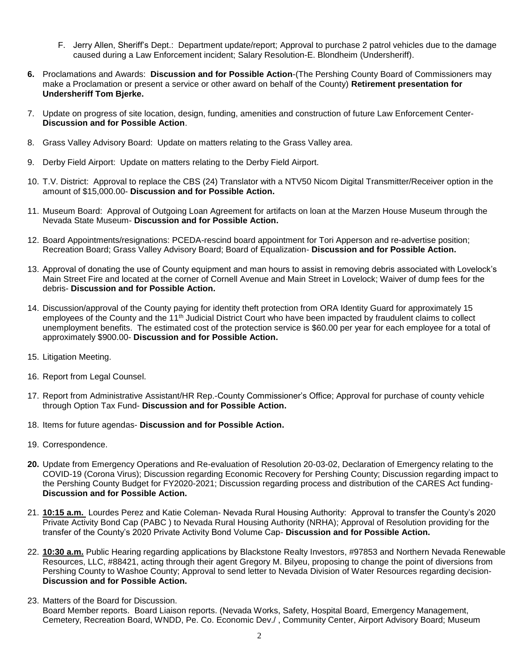- F. Jerry Allen, Sheriff's Dept.: Department update/report; Approval to purchase 2 patrol vehicles due to the damage caused during a Law Enforcement incident; Salary Resolution-E. Blondheim (Undersheriff).
- **6.** Proclamations and Awards: **Discussion and for Possible Action**-(The Pershing County Board of Commissioners may make a Proclamation or present a service or other award on behalf of the County) **Retirement presentation for Undersheriff Tom Bjerke.**
- 7. Update on progress of site location, design, funding, amenities and construction of future Law Enforcement Center-**Discussion and for Possible Action**.
- 8. Grass Valley Advisory Board: Update on matters relating to the Grass Valley area.
- 9. Derby Field Airport: Update on matters relating to the Derby Field Airport.
- 10. T.V. District: Approval to replace the CBS (24) Translator with a NTV50 Nicom Digital Transmitter/Receiver option in the amount of \$15,000.00- **Discussion and for Possible Action.**
- 11. Museum Board: Approval of Outgoing Loan Agreement for artifacts on loan at the Marzen House Museum through the Nevada State Museum- **Discussion and for Possible Action.**
- 12. Board Appointments/resignations: PCEDA-rescind board appointment for Tori Apperson and re-advertise position; Recreation Board; Grass Valley Advisory Board; Board of Equalization- **Discussion and for Possible Action.**
- 13. Approval of donating the use of County equipment and man hours to assist in removing debris associated with Lovelock's Main Street Fire and located at the corner of Cornell Avenue and Main Street in Lovelock; Waiver of dump fees for the debris- **Discussion and for Possible Action.**
- 14. Discussion/approval of the County paying for identity theft protection from ORA Identity Guard for approximately 15 employees of the County and the 11<sup>th</sup> Judicial District Court who have been impacted by fraudulent claims to collect unemployment benefits. The estimated cost of the protection service is \$60.00 per year for each employee for a total of approximately \$900.00- **Discussion and for Possible Action.**
- 15. Litigation Meeting.
- 16. Report from Legal Counsel.
- 17. Report from Administrative Assistant/HR Rep.-County Commissioner's Office; Approval for purchase of county vehicle through Option Tax Fund- **Discussion and for Possible Action.**
- 18. Items for future agendas- **Discussion and for Possible Action.**
- 19. Correspondence.
- **20.** Update from Emergency Operations and Re-evaluation of Resolution 20-03-02, Declaration of Emergency relating to the COVID-19 (Corona Virus); Discussion regarding Economic Recovery for Pershing County; Discussion regarding impact to the Pershing County Budget for FY2020-2021; Discussion regarding process and distribution of the CARES Act funding-**Discussion and for Possible Action.**
- 21. **10:15 a.m.** Lourdes Perez and Katie Coleman- Nevada Rural Housing Authority: Approval to transfer the County's 2020 Private Activity Bond Cap (PABC ) to Nevada Rural Housing Authority (NRHA); Approval of Resolution providing for the transfer of the County's 2020 Private Activity Bond Volume Cap- **Discussion and for Possible Action.**
- 22. **10:30 a.m.** Public Hearing regarding applications by Blackstone Realty Investors, #97853 and Northern Nevada Renewable Resources, LLC, #88421, acting through their agent Gregory M. Bilyeu, proposing to change the point of diversions from Pershing County to Washoe County; Approval to send letter to Nevada Division of Water Resources regarding decision-**Discussion and for Possible Action.**
- 23. Matters of the Board for Discussion.
- Board Member reports. Board Liaison reports. (Nevada Works, Safety, Hospital Board, Emergency Management, Cemetery, Recreation Board, WNDD, Pe. Co. Economic Dev./ , Community Center, Airport Advisory Board; Museum